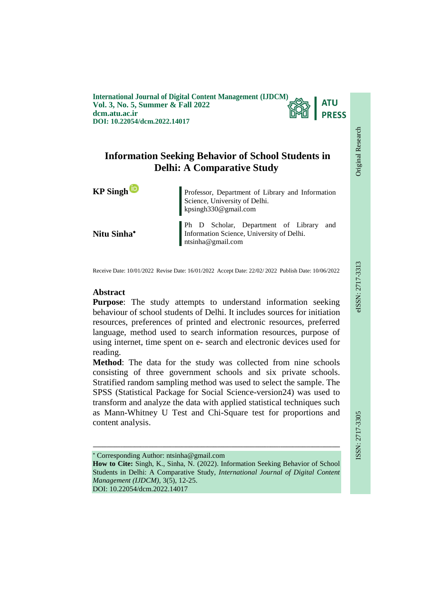**International Journal of Digital Content Management (IJDCM) Vol. 3, No. 5, Summer & Fall 2022 dcm.atu.ac.ir DOI: 10.22054/dcm.2022.14017**



# **Information Seeking Behavior of School Students in Delhi: A Comparative Study**

**Nitu Sinha**

**KP Singh** Professor, Department of Library and Information Science, University of Delhi. kpsingh330@gmail.com

> Ph D Scholar, Department of Library and Information Science, University of Delhi. ntsinha@gmail.com

Receive Date: 10/01/2022 Revise Date: 16/01/2022 Accept Date: 22/02/ 2022 Publish Date: 10/06/2022

# **Abstract**

**Purpose**: The study attempts to understand information seeking behaviour of school students of Delhi. It includes sources for initiation resources, preferences of printed and electronic resources, preferred language, method used to search information resources, purpose of using internet, time spent on e- search and electronic devices used for reading.

**Method**: The data for the study was collected from nine schools consisting of three government schools and six private schools. Stratified random sampling method was used to select the sample. The SPSS (Statistical Package for Social Science-version24) was used to transform and analyze the data with applied statistical techniques such as Mann-Whitney U Test and Chi-Square test for proportions and content analysis.

 Corresponding Author: ntsinha@gmail.com **How to Cite:** Singh, K., Sinha, N. (2022). Information Seeking Behavior of School Students in Delhi: A Comparative Study, *International Journal of Digital Content Management (IJDCM)*, 3(5), 12-25. DOI: 10.22054/dcm.2022.14017

ـــــــــــــــــــــــــــــــــــــــــــــــــــــــــــــــــــــــــــــــــــــــــــــــــــــــــــــــــــــــــــــ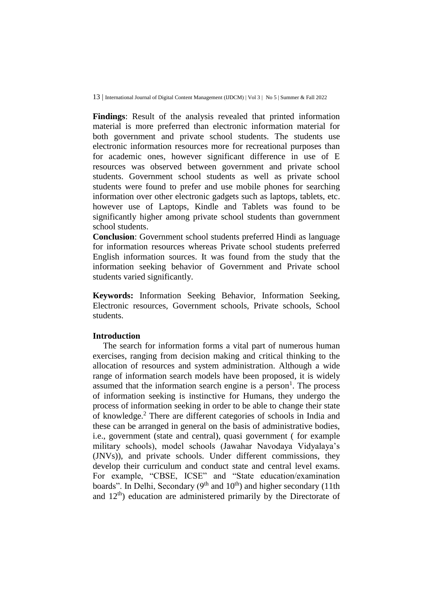**Findings**: Result of the analysis revealed that printed information material is more preferred than electronic information material for both government and private school students. The students use electronic information resources more for recreational purposes than for academic ones, however significant difference in use of E resources was observed between government and private school students. Government school students as well as private school students were found to prefer and use mobile phones for searching information over other electronic gadgets such as laptops, tablets, etc. however use of Laptops, Kindle and Tablets was found to be significantly higher among private school students than government school students.

**Conclusion**: Government school students preferred Hindi as language for information resources whereas Private school students preferred English information sources. It was found from the study that the information seeking behavior of Government and Private school students varied significantly.

**Keywords:** Information Seeking Behavior, Information Seeking, Electronic resources, Government schools, Private schools, School students.

## **Introduction**

The search for information forms a vital part of numerous human exercises, ranging from decision making and critical thinking to the allocation of resources and system administration. Although a wide range of information search models have been proposed, it is widely assumed that the information search engine is a person<sup>1</sup>. The process of information seeking is instinctive for Humans, they undergo the process of information seeking in order to be able to change their state of knowledge.<sup>2</sup> There are different categories of schools in India and these can be arranged in general on the basis of administrative bodies, i.e., government (state and central), quasi government ( for example military schools), model schools (Jawahar Navodaya Vidyalaya's (JNVs)), and private schools. Under different commissions, they develop their curriculum and conduct state and central level exams. For example, "CBSE, ICSE" and "State education/examination boards". In Delhi, Secondary  $(9<sup>th</sup>$  and  $10<sup>th</sup>$ ) and higher secondary (11th and  $12<sup>th</sup>$ ) education are administered primarily by the Directorate of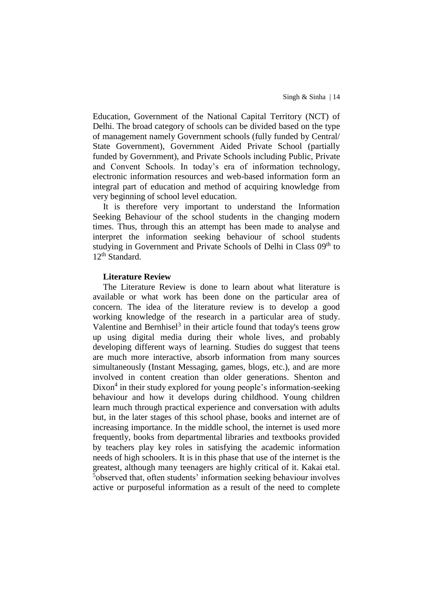Education, Government of the National Capital Territory (NCT) of Delhi. The broad category of schools can be divided based on the type of management namely Government schools (fully funded by Central/ State Government), Government Aided Private School (partially funded by Government), and Private Schools including Public, Private and Convent Schools. In today's era of information technology, electronic information resources and web-based information form an integral part of education and method of acquiring knowledge from very beginning of school level education.

It is therefore very important to understand the Information Seeking Behaviour of the school students in the changing modern times. Thus, through this an attempt has been made to analyse and interpret the information seeking behaviour of school students studying in Government and Private Schools of Delhi in Class 09<sup>th</sup> to 12<sup>th</sup> Standard.

## **Literature Review**

The Literature Review is done to learn about what literature is available or what work has been done on the particular area of concern. The idea of the literature review is to develop a good working knowledge of the research in a particular area of study. Valentine and Bernhisel<sup>3</sup> in their article found that today's teens grow up using digital media during their whole lives, and probably developing different ways of learning. Studies do suggest that teens are much more interactive, absorb information from many sources simultaneously (Instant Messaging, games, blogs, etc.), and are more involved in content creation than older generations. Shenton and Dixon<sup>4</sup> in their study explored for young people's information-seeking behaviour and how it develops during childhood. Young children learn much through practical experience and conversation with adults but, in the later stages of this school phase, books and internet are of increasing importance. In the middle school, the internet is used more frequently, books from departmental libraries and textbooks provided by teachers play key roles in satisfying the academic information needs of high schoolers. It is in this phase that use of the internet is the greatest, although many teenagers are highly critical of it. Kakai etal. <sup>5</sup>observed that, often students' information seeking behaviour involves active or purposeful information as a result of the need to complete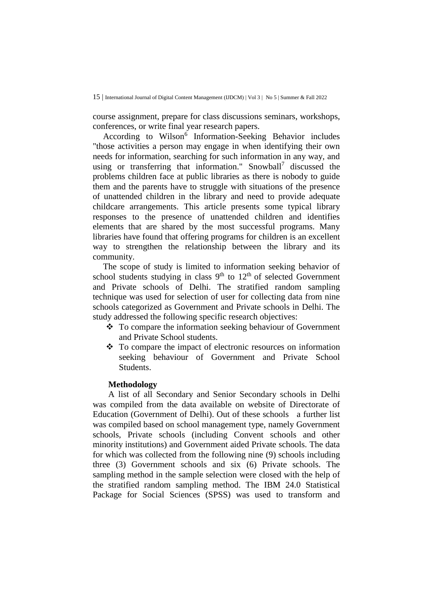course assignment, prepare for class discussions seminars, workshops, conferences, or write final year research papers.

According to Wilson<sup>6</sup> Information-Seeking Behavior includes "those activities a person may engage in when identifying their own needs for information, searching for such information in any way, and using or transferring that information." Snowball<sup>7</sup> discussed the problems children face at public libraries as there is nobody to guide them and the parents have to struggle with situations of the presence of unattended children in the library and need to provide adequate childcare arrangements. This article presents some typical library responses to the presence of unattended children and identifies elements that are shared by the most successful programs. Many libraries have found that offering programs for children is an excellent way to strengthen the relationship between the library and its community.

The scope of study is limited to information seeking behavior of school students studying in class  $9<sup>th</sup>$  to  $12<sup>th</sup>$  of selected Government and Private schools of Delhi. The stratified random sampling technique was used for selection of user for collecting data from nine schools categorized as Government and Private schools in Delhi. The study addressed the following specific research objectives:

- To compare the information seeking behaviour of Government and Private School students.
- $\cdot \cdot$  To compare the impact of electronic resources on information seeking behaviour of Government and Private School Students.

## **Methodology**

A list of all Secondary and Senior Secondary schools in Delhi was compiled from the data available on website of Directorate of Education (Government of Delhi). Out of these schools a further list was compiled based on school management type, namely Government schools, Private schools (including Convent schools and other minority institutions) and Government aided Private schools. The data for which was collected from the following nine (9) schools including three (3) Government schools and six (6) Private schools. The sampling method in the sample selection were closed with the help of the stratified random sampling method. The IBM 24.0 Statistical Package for Social Sciences (SPSS) was used to transform and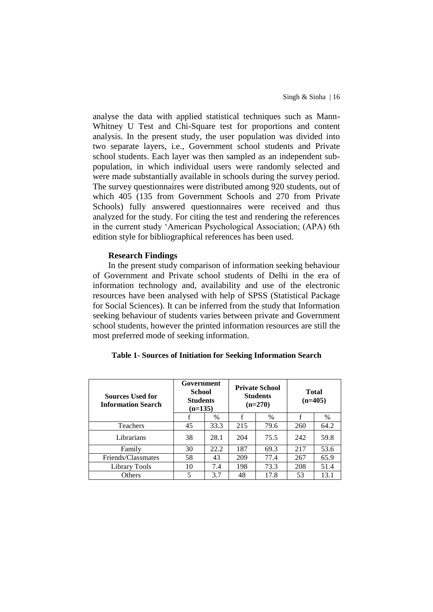analyse the data with applied statistical techniques such as Mann-Whitney U Test and Chi-Square test for proportions and content analysis. In the present study, the user population was divided into two separate layers, i.e., Government school students and Private school students. Each layer was then sampled as an independent subpopulation, in which individual users were randomly selected and were made substantially available in schools during the survey period. The survey questionnaires were distributed among 920 students, out of which 405 (135 from Government Schools and 270 from Private Schools) fully answered questionnaires were received and thus analyzed for the study. For citing the test and rendering the references in the current study 'American Psychological Association; (APA) 6th edition style for bibliographical references has been used.

#### **Research Findings**

In the present study comparison of information seeking behaviour of Government and Private school students of Delhi in the era of information technology and, availability and use of the electronic resources have been analysed with help of SPSS (Statistical Package for Social Sciences). It can be inferred from the study that Information seeking behaviour of students varies between private and Government school students, however the printed information resources are still the most preferred mode of seeking information.

| <b>Sources Used for</b><br><b>Information Search</b> | Government<br>School<br><b>Students</b><br>$(n=135)$ |      |     | <b>Private School</b><br><b>Students</b><br>$(n=270)$ | <b>Total</b><br>$(n=405)$ |      |  |
|------------------------------------------------------|------------------------------------------------------|------|-----|-------------------------------------------------------|---------------------------|------|--|
|                                                      |                                                      | $\%$ | f   | %                                                     | f                         | $\%$ |  |
| Teachers                                             | 45                                                   | 33.3 | 215 | 79.6                                                  | 260                       | 64.2 |  |
| Librarians                                           | 38                                                   | 28.1 | 204 | 75.5                                                  | 242                       | 59.8 |  |
| Family                                               | 30                                                   | 22.2 | 187 | 69.3                                                  | 217                       | 53.6 |  |
| Friends/Classmates                                   | 58                                                   | 43   | 209 | 77.4                                                  | 267                       | 65.9 |  |
| Library Tools                                        | 10                                                   | 7.4  | 198 | 73.3                                                  | 208                       | 51.4 |  |
| Others                                               | 5                                                    | 3.7  | 48  | 17.8                                                  | 53                        | 13.1 |  |

#### **Table 1- Sources of Initiation for Seeking Information Search**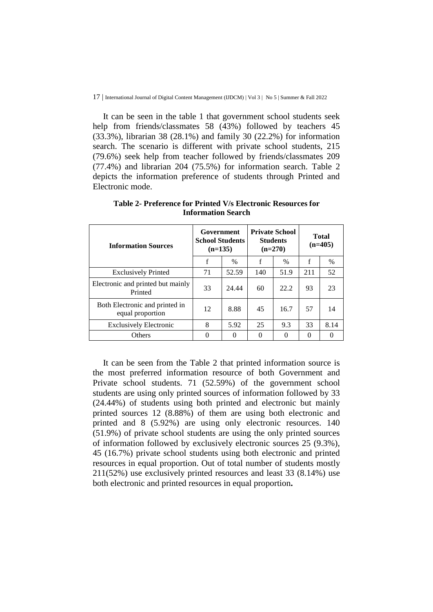It can be seen in the table 1 that government school students seek help from friends/classmates 58 (43%) followed by teachers 45 (33.3%), librarian 38 (28.1%) and family 30 (22.2%) for information search. The scenario is different with private school students, 215 (79.6%) seek help from teacher followed by friends/classmates 209 (77.4%) and librarian 204 (75.5%) for information search. Table 2 depicts the information preference of students through Printed and Electronic mode.

| <b>Information Sources</b>                         | Government<br><b>School Students</b><br>$(n=135)$ |       |             | <b>Private School</b><br><b>Students</b><br>$(n=270)$ | <b>Total</b><br>$(n=405)$ |          |
|----------------------------------------------------|---------------------------------------------------|-------|-------------|-------------------------------------------------------|---------------------------|----------|
|                                                    | $\mathbf f$                                       | %     | $\mathbf f$ | $\%$                                                  | f                         | %        |
| <b>Exclusively Printed</b>                         | 71                                                | 52.59 | 140         | 51.9                                                  | 211                       | 52       |
| Electronic and printed but mainly<br>Printed       | 33                                                | 24.44 | 60          | 22.2                                                  | 93                        | 23       |
| Both Electronic and printed in<br>equal proportion | 12                                                | 8.88  | 45          | 16.7                                                  | 57                        | 14       |
| <b>Exclusively Electronic</b>                      | 8                                                 | 5.92  | 25          | 9.3                                                   | 33                        | 8.14     |
| <b>Others</b>                                      | 0                                                 |       | 0           | 0                                                     | 0                         | $\theta$ |

**Table 2- Preference for Printed V/s Electronic Resources for Information Search**

It can be seen from the Table 2 that printed information source is the most preferred information resource of both Government and Private school students. 71 (52.59%) of the government school students are using only printed sources of information followed by 33 (24.44%) of students using both printed and electronic but mainly printed sources 12 (8.88%) of them are using both electronic and printed and 8 (5.92%) are using only electronic resources. 140 (51.9%) of private school students are using the only printed sources of information followed by exclusively electronic sources 25 (9.3%), 45 (16.7%) private school students using both electronic and printed resources in equal proportion. Out of total number of students mostly 211(52%) use exclusively printed resources and least 33 (8.14%) use both electronic and printed resources in equal proportion**.**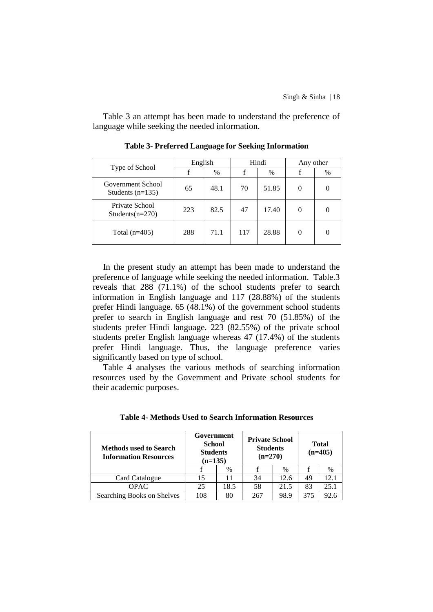Table 3 an attempt has been made to understand the preference of language while seeking the needed information.

|                                         | English |      |     | Hindi | Any other |      |
|-----------------------------------------|---------|------|-----|-------|-----------|------|
| Type of School                          |         | $\%$ |     | $\%$  |           | $\%$ |
| Government School<br>Students $(n=135)$ | 65      | 48.1 | 70  | 51.85 | 0         |      |
| Private School<br>Students $(n=270)$    | 223     | 82.5 | 47  | 17.40 | 0         |      |
| Total $(n=405)$                         | 288     | 71.1 | 117 | 28.88 | 0         |      |

**Table 3- Preferred Language for Seeking Information**

In the present study an attempt has been made to understand the preference of language while seeking the needed information. Table.3 reveals that 288 (71.1%) of the school students prefer to search information in English language and 117 (28.88%) of the students prefer Hindi language. 65 (48.1%) of the government school students prefer to search in English language and rest 70 (51.85%) of the students prefer Hindi language. 223 (82.55%) of the private school students prefer English language whereas 47 (17.4%) of the students prefer Hindi language. Thus, the language preference varies significantly based on type of school.

Table 4 analyses the various methods of searching information resources used by the Government and Private school students for their academic purposes.

| <b>Methods used to Search</b><br><b>Information Resources</b> | Government<br>School<br><b>Students</b><br>$(n=135)$ |      | <b>Private School</b><br><b>Students</b><br>$(n=270)$ |      | <b>Total</b><br>$(n=405)$ |      |
|---------------------------------------------------------------|------------------------------------------------------|------|-------------------------------------------------------|------|---------------------------|------|
|                                                               |                                                      | $\%$ |                                                       | $\%$ |                           | $\%$ |
| Card Catalogue                                                | 15                                                   |      | 34                                                    | 12.6 | 49                        | 12.1 |
| <b>OPAC</b>                                                   | 25                                                   | 18.5 | 58                                                    | 21.5 | 83                        | 25.1 |
| Searching Books on Shelves                                    | 108                                                  | 80   | 267                                                   | 98.9 | 375                       | 92.6 |

**Table 4- Methods Used to Search Information Resources**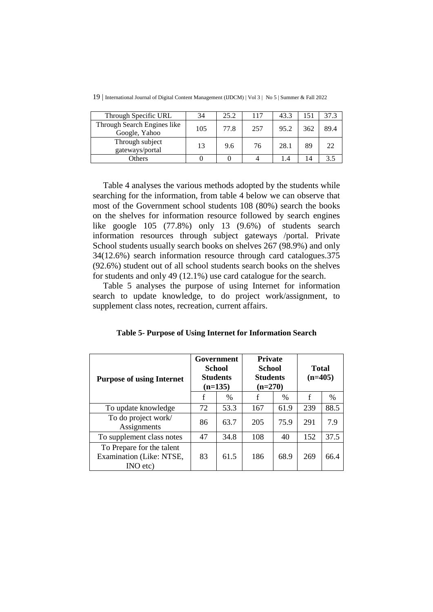| Through Specific URL                         | 34  | 25.2 | 117 | 43.3 |     | 37.3 |
|----------------------------------------------|-----|------|-----|------|-----|------|
| Through Search Engines like<br>Google, Yahoo | 105 | 77.8 | 257 | 95.2 | 362 | 89.4 |
| Through subject<br>gateways/portal           | 13  | 9.6  | 76  | 28.1 | 89  | 22   |
| Others                                       |     |      |     | 1.4  | 14  |      |

19 | International Journal of Digital Content Management (IJDCM) | Vol 3 | No 5 | Summer & Fall 2022

Table 4 analyses the various methods adopted by the students while searching for the information, from table 4 below we can observe that most of the Government school students 108 (80%) search the books on the shelves for information resource followed by search engines like google 105 (77.8%) only 13 (9.6%) of students search information resources through subject gateways /portal. Private School students usually search books on shelves 267 (98.9%) and only 34(12.6%) search information resource through card catalogues.375 (92.6%) student out of all school students search books on the shelves for students and only 49 (12.1%) use card catalogue for the search.

Table 5 analyses the purpose of using Internet for information search to update knowledge, to do project work/assignment, to supplement class notes, recreation, current affairs.

| Table 5- Purpose of Using Internet for Information Search |  |  |  |  |  |  |  |  |  |  |  |  |  |  |
|-----------------------------------------------------------|--|--|--|--|--|--|--|--|--|--|--|--|--|--|
|-----------------------------------------------------------|--|--|--|--|--|--|--|--|--|--|--|--|--|--|

| <b>Purpose of using Internet</b>                                  |    | Government<br>School<br><b>Students</b><br>$(n=135)$ | <b>Private</b><br><b>School</b><br><b>Students</b><br>$(n=270)$ |      | <b>Total</b><br>$(n=405)$ |      |  |
|-------------------------------------------------------------------|----|------------------------------------------------------|-----------------------------------------------------------------|------|---------------------------|------|--|
|                                                                   | f  | $\%$                                                 | f                                                               | $\%$ | f                         | %    |  |
| To update knowledge                                               | 72 | 53.3                                                 | 167                                                             | 61.9 | 239                       | 88.5 |  |
| To do project work/<br>Assignments                                | 86 | 63.7                                                 | 205                                                             | 75.9 | 291                       | 7.9  |  |
| To supplement class notes                                         | 47 | 34.8                                                 | 108                                                             | 40   | 152                       | 37.5 |  |
| To Prepare for the talent<br>Examination (Like: NTSE,<br>INO etc) | 83 | 61.5                                                 | 186                                                             | 68.9 | 269                       | 66.4 |  |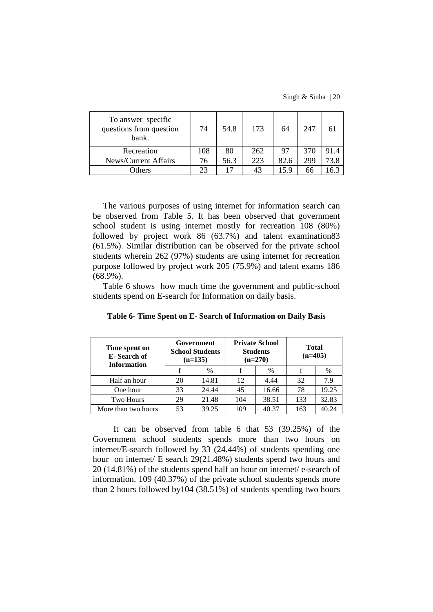Singh & Sinha | 20

| To answer specific<br>questions from question<br>bank. | 74  | 54.8 | 173 | 64   | 247 |      |
|--------------------------------------------------------|-----|------|-----|------|-----|------|
| Recreation                                             | 108 | 80   | 262 | 97   | 370 | 91.4 |
| News/Current Affairs                                   | 76  | 56.3 | 223 | 82.6 | 299 | 73.8 |
| <b>Others</b>                                          | 23  |      | 43  | 5.9  | 66  | 6.3  |

The various purposes of using internet for information search can be observed from Table 5. It has been observed that government school student is using internet mostly for recreation 108 (80%) followed by project work 86 (63.7%) and talent examination83 (61.5%). Similar distribution can be observed for the private school students wherein 262 (97%) students are using internet for recreation purpose followed by project work 205 (75.9%) and talent exams 186 (68.9%).

Table 6 shows how much time the government and public-school students spend on E-search for Information on daily basis.

| Time spent on<br>E-Search of<br><b>Information</b> |    | Government<br><b>School Students</b><br>$(n=135)$ |     | <b>Private School</b><br><b>Students</b><br>$(n=270)$ | <b>Total</b><br>$(n=405)$ |       |  |
|----------------------------------------------------|----|---------------------------------------------------|-----|-------------------------------------------------------|---------------------------|-------|--|
|                                                    |    | $\%$                                              |     | %                                                     |                           | $\%$  |  |
| Half an hour                                       | 20 | 14.81                                             | 12  | 4.44                                                  | 32                        | 7.9   |  |
| One hour                                           | 33 | 24.44                                             | 45  | 16.66                                                 | 78                        | 19.25 |  |
| <b>Two Hours</b>                                   | 29 | 21.48                                             | 104 | 38.51                                                 | 133                       | 32.83 |  |
| More than two hours                                | 53 | 39.25                                             | 109 | 40.37                                                 | 163                       | 40.24 |  |

**Table 6- Time Spent on E- Search of Information on Daily Basis**

It can be observed from table 6 that 53 (39.25%) of the Government school students spends more than two hours on internet/E-search followed by 33 (24.44%) of students spending one hour on internet/ E search 29(21.48%) students spend two hours and 20 (14.81%) of the students spend half an hour on internet/ e-search of information. 109 (40.37%) of the private school students spends more than 2 hours followed by104 (38.51%) of students spending two hours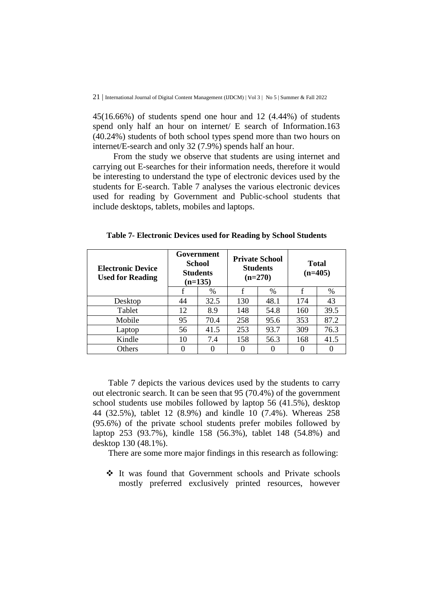45(16.66%) of students spend one hour and 12 (4.44%) of students spend only half an hour on internet/ E search of Information.163 (40.24%) students of both school types spend more than two hours on internet/E-search and only 32 (7.9%) spends half an hour.

From the study we observe that students are using internet and carrying out E-searches for their information needs, therefore it would be interesting to understand the type of electronic devices used by the students for E-search. Table 7 analyses the various electronic devices used for reading by Government and Public-school students that include desktops, tablets, mobiles and laptops.

| <b>Electronic Device</b><br><b>Used for Reading</b> |    | Government<br>School<br><b>Students</b><br>$(n=135)$ |     | <b>Private School</b><br><b>Students</b><br>$(n=270)$ | <b>Total</b><br>$(n=405)$ |      |  |
|-----------------------------------------------------|----|------------------------------------------------------|-----|-------------------------------------------------------|---------------------------|------|--|
|                                                     |    | $\%$                                                 |     | $\frac{0}{0}$                                         | f                         | $\%$ |  |
| Desktop                                             | 44 | 32.5                                                 | 130 | 48.1                                                  | 174                       | 43   |  |
| Tablet                                              | 12 | 8.9                                                  | 148 | 54.8                                                  | 160                       | 39.5 |  |
| Mobile                                              | 95 | 70.4                                                 | 258 | 95.6                                                  | 353                       | 87.2 |  |
| Laptop                                              | 56 | 41.5                                                 | 253 | 93.7                                                  | 309                       | 76.3 |  |
| Kindle                                              | 10 | 7.4                                                  | 158 | 56.3                                                  | 168                       | 41.5 |  |
| Others                                              |    | $\Omega$                                             |     |                                                       | 0                         |      |  |

**Table 7- Electronic Devices used for Reading by School Students**

Table 7 depicts the various devices used by the students to carry out electronic search. It can be seen that 95 (70.4%) of the government school students use mobiles followed by laptop 56 (41.5%), desktop 44 (32.5%), tablet 12 (8.9%) and kindle 10 (7.4%). Whereas 258 (95.6%) of the private school students prefer mobiles followed by laptop 253 (93.7%), kindle 158 (56.3%), tablet 148 (54.8%) and desktop 130 (48.1%).

There are some more major findings in this research as following:

 It was found that Government schools and Private schools mostly preferred exclusively printed resources, however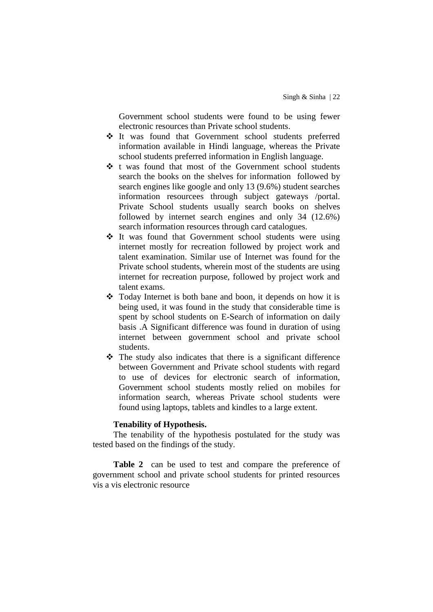Government school students were found to be using fewer electronic resources than Private school students.

- It was found that Government school students preferred information available in Hindi language, whereas the Private school students preferred information in English language.
- t was found that most of the Government school students search the books on the shelves for information followed by search engines like google and only 13 (9.6%) student searches information resourcees through subject gateways /portal. Private School students usually search books on shelves followed by internet search engines and only 34 (12.6%) search information resources through card catalogues.
- $\div$  It was found that Government school students were using internet mostly for recreation followed by project work and talent examination. Similar use of Internet was found for the Private school students, wherein most of the students are using internet for recreation purpose, followed by project work and talent exams.
- $\triangleleft$  Today Internet is both bane and boon, it depends on how it is being used, it was found in the study that considerable time is spent by school students on E-Search of information on daily basis .A Significant difference was found in duration of using internet between government school and private school students.
- $\hat{\mathbf{v}}$  The study also indicates that there is a significant difference between Government and Private school students with regard to use of devices for electronic search of information, Government school students mostly relied on mobiles for information search, whereas Private school students were found using laptops, tablets and kindles to a large extent.

## **Tenability of Hypothesis.**

The tenability of the hypothesis postulated for the study was tested based on the findings of the study.

**Table 2** can be used to test and compare the preference of government school and private school students for printed resources vis a vis electronic resource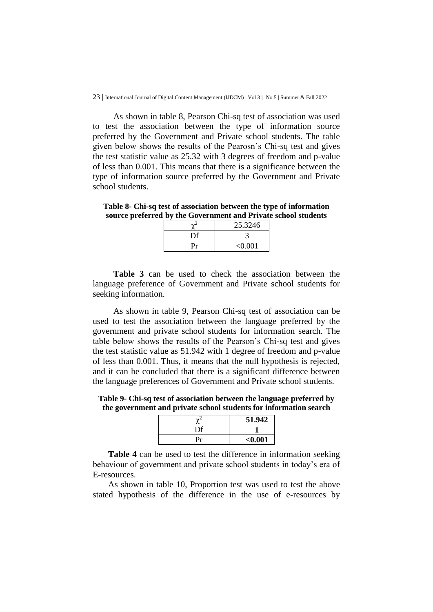As shown in table 8, Pearson Chi-sq test of association was used to test the association between the type of information source preferred by the Government and Private school students. The table given below shows the results of the Pearosn's Chi-sq test and gives the test statistic value as 25.32 with 3 degrees of freedom and p-value of less than 0.001. This means that there is a significance between the type of information source preferred by the Government and Private school students.

**Table 8- Chi-sq test of association between the type of information source preferred by the Government and Private school students**

|    | 25.3246 |
|----|---------|
| Dτ |         |
| Pr | < 0.001 |

**Table 3** can be used to check the association between the language preference of Government and Private school students for seeking information.

As shown in table 9, Pearson Chi-sq test of association can be used to test the association between the language preferred by the government and private school students for information search. The table below shows the results of the Pearson's Chi-sq test and gives the test statistic value as 51.942 with 1 degree of freedom and p-value of less than 0.001. Thus, it means that the null hypothesis is rejected, and it can be concluded that there is a significant difference between the language preferences of Government and Private school students.

**Table 9- Chi-sq test of association between the language preferred by the government and private school students for information search**

|    | 51.942  |
|----|---------|
| Df |         |
| Pr | $0.001$ |

**Table 4** can be used to test the difference in information seeking behaviour of government and private school students in today's era of E-resources.

As shown in table 10, Proportion test was used to test the above stated hypothesis of the difference in the use of e-resources by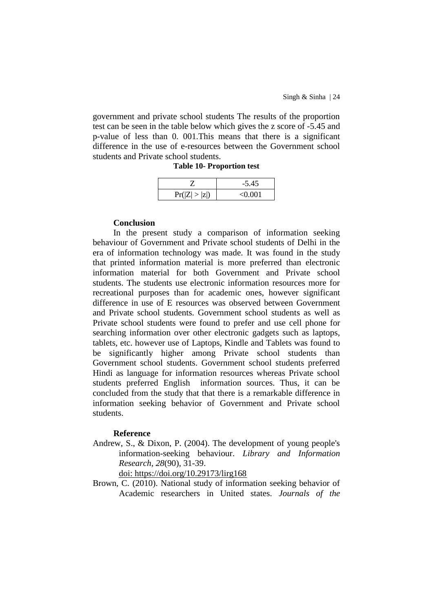government and private school students The results of the proportion test can be seen in the table below which gives the z score of -5.45 and p-value of less than 0. 001.This means that there is a significant difference in the use of e-resources between the Government school students and Private school students.

|  |  | <b>Table 10- Proportion test</b> |  |
|--|--|----------------------------------|--|
|--|--|----------------------------------|--|

|               | $-5.45$ |
|---------------|---------|
| Pr( Z  >  z ) | < 0.001 |

### **Conclusion**

In the present study a comparison of information seeking behaviour of Government and Private school students of Delhi in the era of information technology was made. It was found in the study that printed information material is more preferred than electronic information material for both Government and Private school students. The students use electronic information resources more for recreational purposes than for academic ones, however significant difference in use of E resources was observed between Government and Private school students. Government school students as well as Private school students were found to prefer and use cell phone for searching information over other electronic gadgets such as laptops, tablets, etc. however use of Laptops, Kindle and Tablets was found to be significantly higher among Private school students than Government school students. Government school students preferred Hindi as language for information resources whereas Private school students preferred English information sources. Thus, it can be concluded from the study that that there is a remarkable difference in information seeking behavior of Government and Private school students.

#### **Reference**

Andrew, S., & Dixon, P. (2004). The development of young people's information-seeking behaviour. *Library and Information Research*, *28*(90), 31-39.

doi: <https://doi.org/10.29173/lirg168>

Brown, C. (2010). National study of information seeking behavior of Academic researchers in United states. *Journals of the*